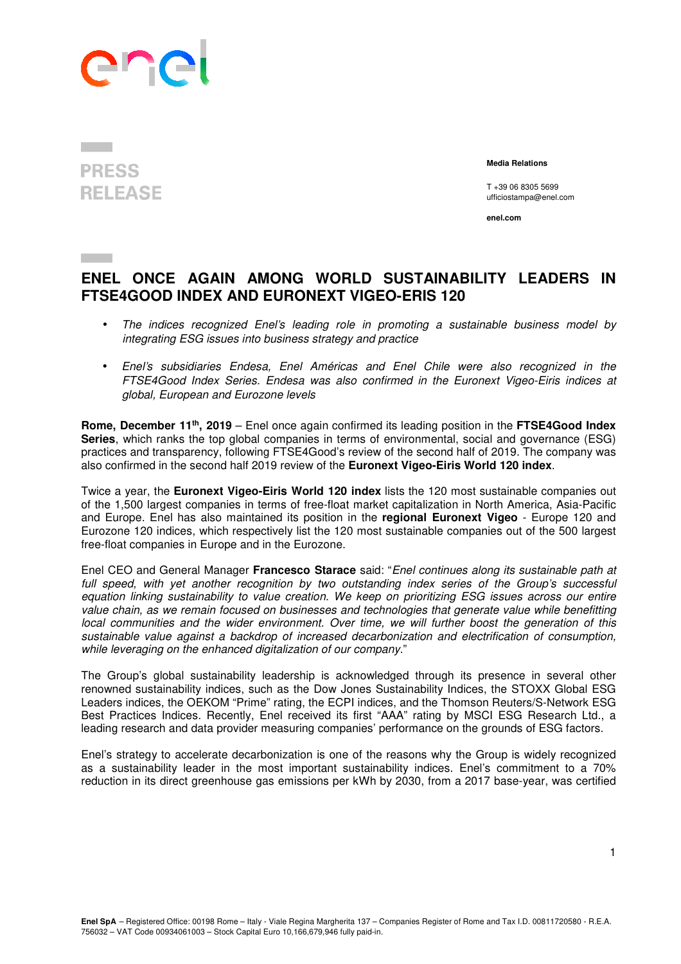

**PRESS RELEASE** 

 **Media Relations** 

T +39 06 8305 5699 ufficiostampa@enel.com

**enel.com**

## **ENEL ONCE AGAIN AMONG WORLD SUSTAINABILITY LEADERS IN FTSE4GOOD INDEX AND EURONEXT VIGEO-ERIS 120**

- The indices recognized Enel's leading role in promoting a sustainable business model by integrating ESG issues into business strategy and practice
- Enel's subsidiaries Endesa, Enel Américas and Enel Chile were also recognized in the FTSE4Good Index Series. Endesa was also confirmed in the Euronext Vigeo-Eiris indices at global, European and Eurozone levels

**Rome, December 11th, 2019** – Enel once again confirmed its leading position in the **FTSE4Good Index Series**, which ranks the top global companies in terms of environmental, social and governance (ESG) practices and transparency, following FTSE4Good's review of the second half of 2019. The company was also confirmed in the second half 2019 review of the **Euronext Vigeo-Eiris World 120 index**.

Twice a year, the **Euronext Vigeo-Eiris World 120 index** lists the 120 most sustainable companies out of the 1,500 largest companies in terms of free-float market capitalization in North America, Asia-Pacific and Europe. Enel has also maintained its position in the **regional Euronext Vigeo** - Europe 120 and Eurozone 120 indices, which respectively list the 120 most sustainable companies out of the 500 largest free-float companies in Europe and in the Eurozone.

Enel CEO and General Manager **Francesco Starace** said: "Enel continues along its sustainable path at full speed, with yet another recognition by two outstanding index series of the Group's successful equation linking sustainability to value creation. We keep on prioritizing ESG issues across our entire value chain, as we remain focused on businesses and technologies that generate value while benefitting local communities and the wider environment. Over time, we will further boost the generation of this sustainable value against a backdrop of increased decarbonization and electrification of consumption, while leveraging on the enhanced digitalization of our company."

The Group's global sustainability leadership is acknowledged through its presence in several other renowned sustainability indices, such as the Dow Jones Sustainability Indices, the STOXX Global ESG Leaders indices, the OEKOM "Prime" rating, the ECPI indices, and the Thomson Reuters/S-Network ESG Best Practices Indices. Recently, Enel received its first "AAA" rating by MSCI ESG Research Ltd., a leading research and data provider measuring companies' performance on the grounds of ESG factors.

Enel's strategy to accelerate decarbonization is one of the reasons why the Group is widely recognized as a sustainability leader in the most important sustainability indices. Enel's commitment to a 70% reduction in its direct greenhouse gas emissions per kWh by 2030, from a 2017 base-year, was certified